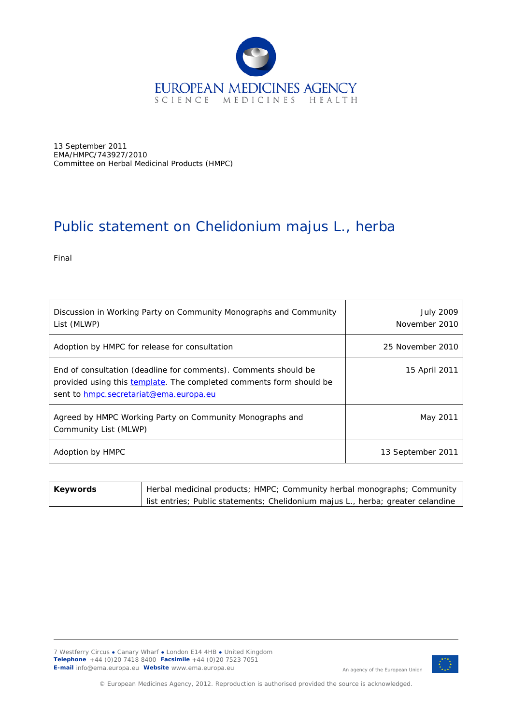

13 September 2011 EMA/HMPC/743927/2010 Committee on Herbal Medicinal Products (HMPC)

## Public statement on *Chelidonium majus* L., herba

Final

| Discussion in Working Party on Community Monographs and Community<br>List (MLWP)                                                                                                 | <b>July 2009</b><br>November 2010 |
|----------------------------------------------------------------------------------------------------------------------------------------------------------------------------------|-----------------------------------|
| Adoption by HMPC for release for consultation                                                                                                                                    | 25 November 2010                  |
| End of consultation (deadline for comments). Comments should be<br>provided using this template. The completed comments form should be<br>sent to hmpc.secretariat@ema.europa.eu | 15 April 2011                     |
| Agreed by HMPC Working Party on Community Monographs and<br>Community List (MLWP)                                                                                                | May 2011                          |
| Adoption by HMPC                                                                                                                                                                 | 13 September 2011                 |

| Keywords | Herbal medicinal products; HMPC; Community herbal monographs; Community         |
|----------|---------------------------------------------------------------------------------|
|          | list entries; Public statements; Chelidonium majus L., herba; greater celandine |



An agency of the European Union

© European Medicines Agency, 2012. Reproduction is authorised provided the source is acknowledged.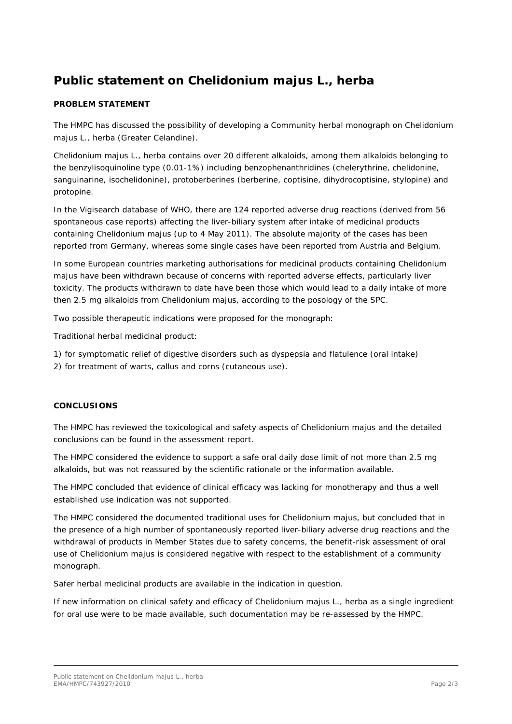## **Public statement on** *Chelidonium majus* **L., herba**

## **PROBLEM STATEMENT**

The HMPC has discussed the possibility of developing a Community herbal monograph on *Chelidonium majus* L., herba (Greater Celandine).

*Chelidonium majus* L., herba contains over 20 different alkaloids, among them alkaloids belonging to the benzylisoquinoline type (0.01-1%) including benzophenanthridines (chelerythrine, chelidonine, sanguinarine, isochelidonine), protoberberines (berberine, coptisine, dihydrocoptisine, stylopine) and protopine.

In the Vigisearch database of WHO, there are 124 reported adverse drug reactions (derived from 56 spontaneous case reports) affecting the liver-biliary system after intake of medicinal products containing *Chelidonium majus* (up to 4 May 2011). The absolute majority of the cases has been reported from Germany, whereas some single cases have been reported from Austria and Belgium.

In some European countries marketing authorisations for medicinal products containing *Chelidonium majus* have been withdrawn because of concerns with reported adverse effects, particularly liver toxicity. The products withdrawn to date have been those which would lead to a daily intake of more then 2.5 mg alkaloids from *Chelidonium majus,* according to the posology of the SPC.

Two possible therapeutic indications were proposed for the monograph:

*Traditional herbal medicinal product:*

*1) for symptomatic relief of digestive disorders such as dyspepsia and flatulence (oral intake) 2) for treatment of warts, callus and corns (cutaneous use).*

## **CONCLUSIONS**

The HMPC has reviewed the toxicological and safety aspects of *Chelidonium majus* and the detailed conclusions can be found in the assessment report.

The HMPC considered the evidence to support a safe oral daily dose limit of not more than 2.5 mg alkaloids, but was not reassured by the scientific rationale or the information available.

The HMPC concluded that evidence of clinical efficacy was lacking for monotherapy and thus a well established use indication was not supported.

The HMPC considered the documented traditional uses for *Chelidonium majus,* but concluded that in the presence of a high number of spontaneously reported liver-biliary adverse drug reactions and the withdrawal of products in Member States due to safety concerns, the benefit-risk assessment of oral use of *Chelidonium majus* is considered negative with respect to the establishment of a community monograph.

Safer herbal medicinal products are available in the indication in question.

If new information on clinical safety and efficacy of *Chelidonium majus* L., herba as a single ingredient for oral use were to be made available, such documentation may be re-assessed by the HMPC.